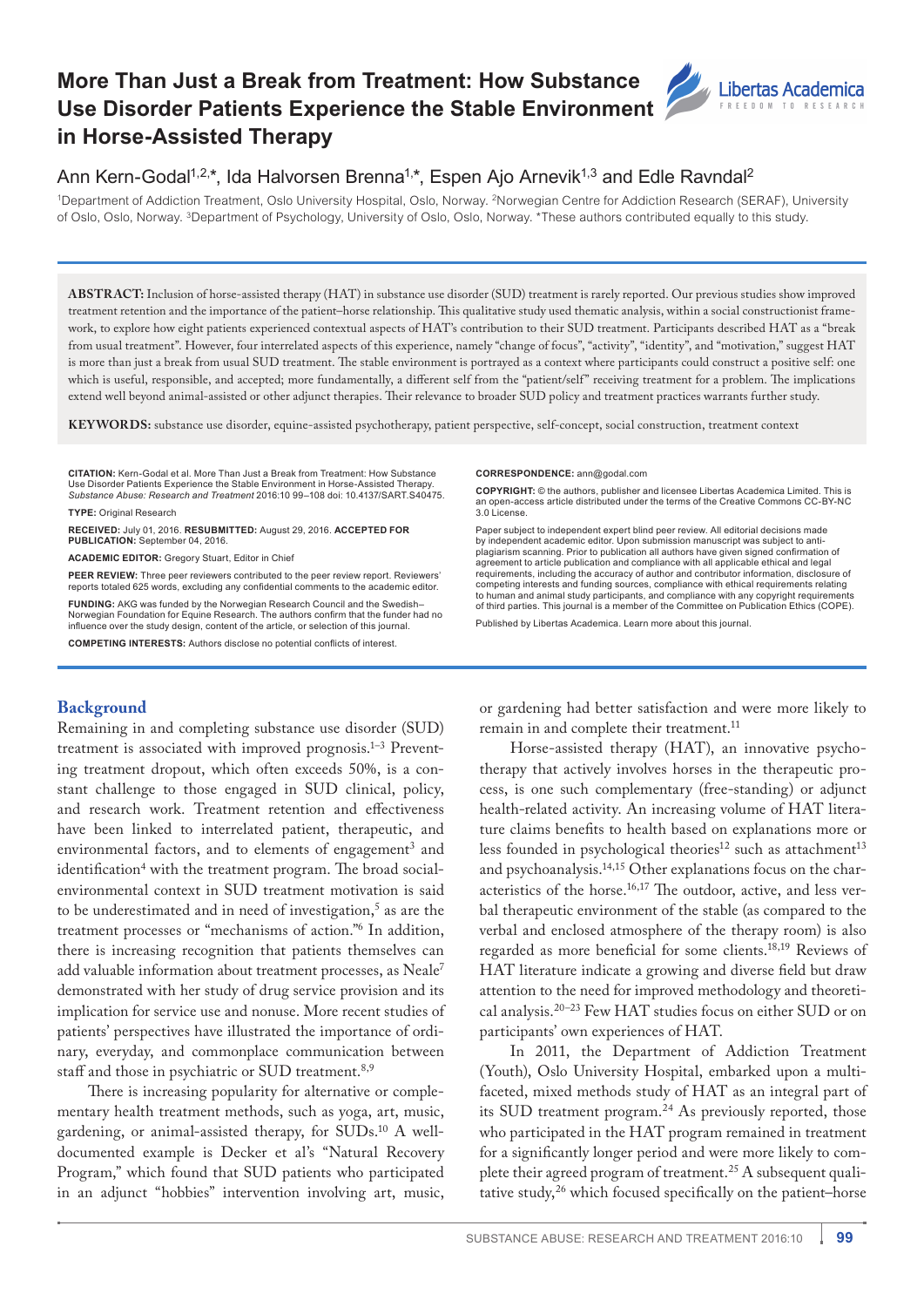# **More Than Just a Break from Treatment: How Substance Use Disorder Patients Experience the Stable Environment in Horse-Assisted Therapy**



# Ann Kern-Godal<sup>1,2,\*</sup>, Ida Halvorsen Brenna<sup>1,\*</sup>, Espen Ajo Arnevik<sup>1,3</sup> and Edle Ravndal<sup>2</sup>

1Department of Addiction Treatment, Oslo University Hospital, Oslo, Norway. 2Norwegian Centre for Addiction Research (SERAF), University of Oslo, Oslo, Norway. 3Department of Psychology, University of Oslo, Oslo, Norway. \*These authors contributed equally to this study.

**Abstract:** Inclusion of horse-assisted therapy (HAT) in substance use disorder (SUD) treatment is rarely reported. Our previous studies show improved treatment retention and the importance of the patient–horse relationship. This qualitative study used thematic analysis, within a social constructionist framework, to explore how eight patients experienced contextual aspects of HAT's contribution to their SUD treatment. Participants described HAT as a "break from usual treatment". However, four interrelated aspects of this experience, namely "change of focus", "activity", "identity", and "motivation," suggest HAT is more than just a break from usual SUD treatment. The stable environment is portrayed as a context where participants could construct a positive self: one which is useful, responsible, and accepted; more fundamentally, a different self from the "patient/self" receiving treatment for a problem. The implications extend well beyond animal-assisted or other adjunct therapies. Their relevance to broader SUD policy and treatment practices warrants further study.

**Keywords:** substance use disorder, equine-assisted psychotherapy, patient perspective, self-concept, social construction, treatment context

**Citation:** Kern-Godal et al. More Than Just a Break from Treatment: How Substance Use Disorder Patients Experience the Stable Environment in Horse-Assisted Therapy. *Substance Abuse: Research and Treatment* 2016:10 99–108 doi: [10.4137/SART.S40475](http://dx.doi.org/10.4137/SART.S40475).

**TYPE:** Original Research

**Received:** July 01, 2016. **ReSubmitted:** August 29, 2016. **Accepted for publication:** September 04, 2016.

**Academic editor:** Gregory Stuart, Editor in Chief

PEER REVIEW: Three peer reviewers contributed to the peer review report. Reviewers' reports totaled 625 words, excluding any confidential comments to the academic editor.

**Funding:** AKG was funded by the Norwegian Research Council and the Swedish– Norwegian Foundation for Equine Research. The authors confirm that the funder had no influence over the study design, content of the article, or selection of this journal.

**Competing Interests:** Authors disclose no potential conflicts of interest.

# **Background**

Remaining in and completing substance use disorder (SUD) treatment is associated with improved prognosis.1–3 Preventing treatment dropout, which often exceeds 50%, is a constant challenge to those engaged in SUD clinical, policy, and research work. Treatment retention and effectiveness have been linked to interrelated patient, therapeutic, and environmental factors, and to elements of engagement<sup>3</sup> and  $\mathrm{identification^4}$  with the treatment program. The broad socialenvironmental context in SUD treatment motivation is said to be underestimated and in need of investigation,<sup>5</sup> as are the treatment processes or "mechanisms of action."6 In addition, there is increasing recognition that patients themselves can add valuable information about treatment processes, as Neale<sup>7</sup> demonstrated with her study of drug service provision and its implication for service use and nonuse. More recent studies of patients' perspectives have illustrated the importance of ordinary, everyday, and commonplace communication between staff and those in psychiatric or SUD treatment.<sup>8,9</sup>

There is increasing popularity for alternative or complementary health treatment methods, such as yoga, art, music, gardening, or animal-assisted therapy, for SUDs.10 A welldocumented example is Decker et al's "Natural Recovery Program," which found that SUD patients who participated in an adjunct "hobbies" intervention involving art, music,

**Correspondence:** [ann@godal.com](mailto:ann@godal.com)

**Copyright:** © the authors, publisher and licensee Libertas Academica Limited. This is an open-access article distributed under the terms of the Creative Commons CC-BY-NC 3.0 License.

Paper subject to independent expert blind peer review. All editorial decisions made by independent academic editor. Upon submission manuscript was subject to antiplagiarism scanning. Prior to publication all authors have given signed confirmation of agreement to article publication and compliance with all applicable ethical and legal requirements, including the accuracy of author and contributor information, disclosure of competing interests and funding sources, compliance with ethical requirements relating to human and animal study participants, and compliance with any copyright requirements of third parties. This journal is a member of the Committee on Publication Ethics (COPE).

Published by [Libertas Academica.](http://www.la-press.com) Learn more about [this journal.](http://www.la-press.com/substance-abuse-research-and-treatment-journal-j80)

or gardening had better satisfaction and were more likely to remain in and complete their treatment.<sup>11</sup>

Horse-assisted therapy (HAT), an innovative psychotherapy that actively involves horses in the therapeutic process, is one such complementary (free-standing) or adjunct health-related activity. An increasing volume of HAT literature claims benefits to health based on explanations more or less founded in psychological theories<sup>12</sup> such as attachment<sup>13</sup> and psychoanalysis.<sup>14,15</sup> Other explanations focus on the characteristics of the horse.<sup>16,17</sup> The outdoor, active, and less verbal therapeutic environment of the stable (as compared to the verbal and enclosed atmosphere of the therapy room) is also regarded as more beneficial for some clients.18,19 Reviews of HAT literature indicate a growing and diverse field but draw attention to the need for improved methodology and theoretical analysis.20–23 Few HAT studies focus on either SUD or on participants' own experiences of HAT.

In 2011, the Department of Addiction Treatment (Youth), Oslo University Hospital, embarked upon a multifaceted, mixed methods study of HAT as an integral part of its SUD treatment program.<sup>24</sup> As previously reported, those who participated in the HAT program remained in treatment for a significantly longer period and were more likely to complete their agreed program of treatment.<sup>25</sup> A subsequent qualitative study,<sup>26</sup> which focused specifically on the patient-horse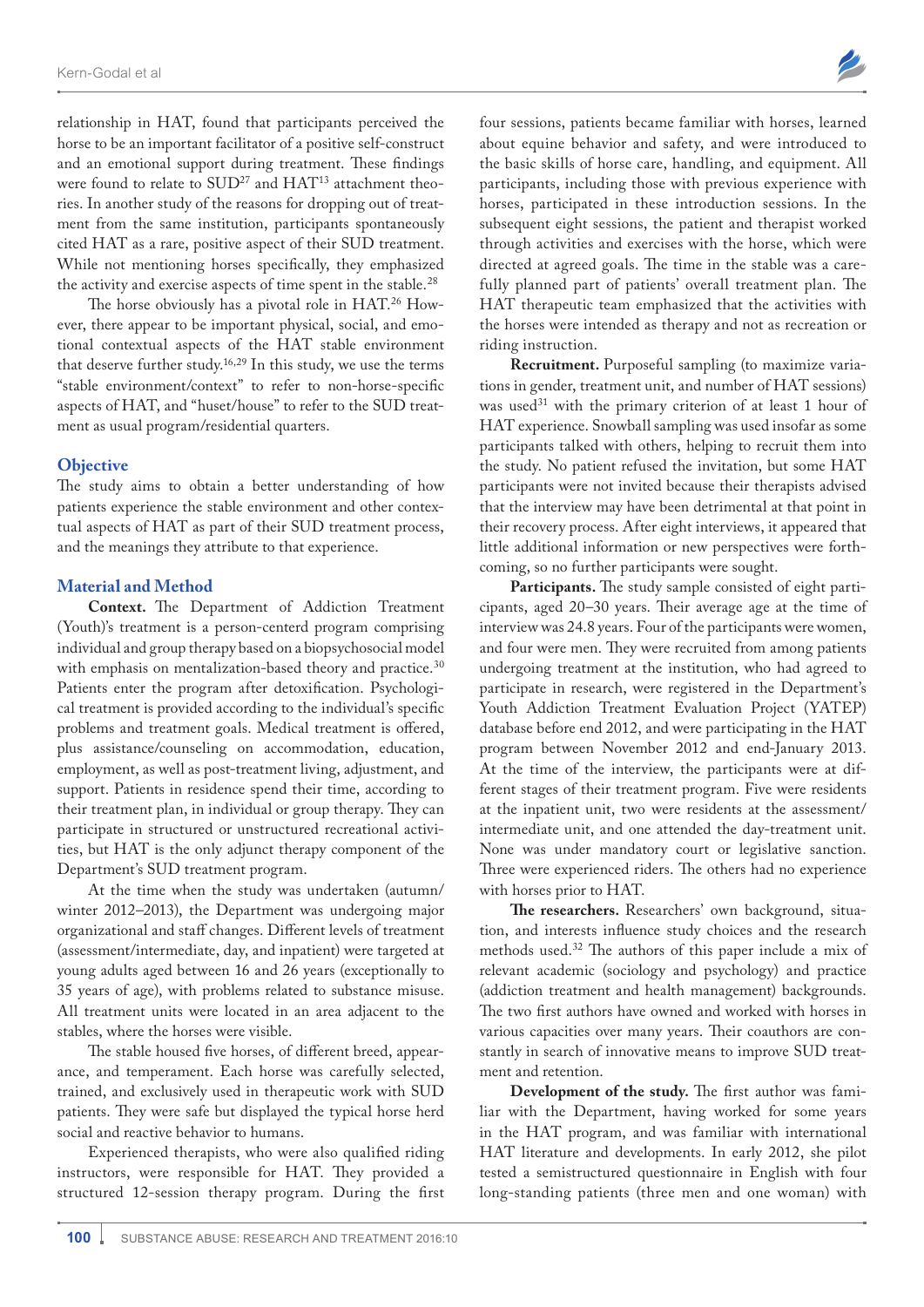relationship in HAT, found that participants perceived the horse to be an important facilitator of a positive self-construct and an emotional support during treatment. These findings were found to relate to SUD<sup>27</sup> and HAT<sup>13</sup> attachment theories. In another study of the reasons for dropping out of treatment from the same institution, participants spontaneously cited HAT as a rare, positive aspect of their SUD treatment. While not mentioning horses specifically, they emphasized the activity and exercise aspects of time spent in the stable.<sup>28</sup>

The horse obviously has a pivotal role in HAT.<sup>26</sup> However, there appear to be important physical, social, and emotional contextual aspects of the HAT stable environment that deserve further study.16,29 In this study, we use the terms "stable environment/context" to refer to non-horse-specific aspects of HAT, and "huset/house" to refer to the SUD treatment as usual program/residential quarters.

### **Objective**

The study aims to obtain a better understanding of how patients experience the stable environment and other contextual aspects of HAT as part of their SUD treatment process, and the meanings they attribute to that experience.

# **Material and Method**

**Context.** The Department of Addiction Treatment (Youth)'s treatment is a person-centerd program comprising individual and group therapy based on a biopsychosocial model with emphasis on mentalization-based theory and practice.<sup>30</sup> Patients enter the program after detoxification. Psychological treatment is provided according to the individual's specific problems and treatment goals. Medical treatment is offered, plus assistance/counseling on accommodation, education, employment, as well as post-treatment living, adjustment, and support. Patients in residence spend their time, according to their treatment plan, in individual or group therapy. They can participate in structured or unstructured recreational activities, but HAT is the only adjunct therapy component of the Department's SUD treatment program.

At the time when the study was undertaken (autumn/ winter 2012–2013), the Department was undergoing major organizational and staff changes. Different levels of treatment (assessment/intermediate, day, and inpatient) were targeted at young adults aged between 16 and 26 years (exceptionally to 35 years of age), with problems related to substance misuse. All treatment units were located in an area adjacent to the stables, where the horses were visible.

The stable housed five horses, of different breed, appearance, and temperament. Each horse was carefully selected, trained, and exclusively used in therapeutic work with SUD patients. They were safe but displayed the typical horse herd social and reactive behavior to humans.

Experienced therapists, who were also qualified riding instructors, were responsible for HAT. They provided a structured 12-session therapy program. During the first



four sessions, patients became familiar with horses, learned about equine behavior and safety, and were introduced to the basic skills of horse care, handling, and equipment. All participants, including those with previous experience with horses, participated in these introduction sessions. In the subsequent eight sessions, the patient and therapist worked through activities and exercises with the horse, which were directed at agreed goals. The time in the stable was a carefully planned part of patients' overall treatment plan. The HAT therapeutic team emphasized that the activities with the horses were intended as therapy and not as recreation or riding instruction.

**Recruitment.** Purposeful sampling (to maximize variations in gender, treatment unit, and number of HAT sessions) was used<sup>31</sup> with the primary criterion of at least 1 hour of HAT experience. Snowball sampling was used insofar as some participants talked with others, helping to recruit them into the study. No patient refused the invitation, but some HAT participants were not invited because their therapists advised that the interview may have been detrimental at that point in their recovery process. After eight interviews, it appeared that little additional information or new perspectives were forthcoming, so no further participants were sought.

**Participants.** The study sample consisted of eight participants, aged 20–30 years. Their average age at the time of interview was 24.8 years. Four of the participants were women, and four were men. They were recruited from among patients undergoing treatment at the institution, who had agreed to participate in research, were registered in the Department's Youth Addiction Treatment Evaluation Project (YATEP) database before end 2012, and were participating in the HAT program between November 2012 and end-January 2013. At the time of the interview, the participants were at different stages of their treatment program. Five were residents at the inpatient unit, two were residents at the assessment/ intermediate unit, and one attended the day-treatment unit. None was under mandatory court or legislative sanction. Three were experienced riders. The others had no experience with horses prior to HAT.

**The researchers.** Researchers' own background, situation, and interests influence study choices and the research methods used.32 The authors of this paper include a mix of relevant academic (sociology and psychology) and practice (addiction treatment and health management) backgrounds. The two first authors have owned and worked with horses in various capacities over many years. Their coauthors are constantly in search of innovative means to improve SUD treatment and retention.

**Development of the study.** The first author was familiar with the Department, having worked for some years in the HAT program, and was familiar with international HAT literature and developments. In early 2012, she pilot tested a semistructured questionnaire in English with four long-standing patients (three men and one woman) with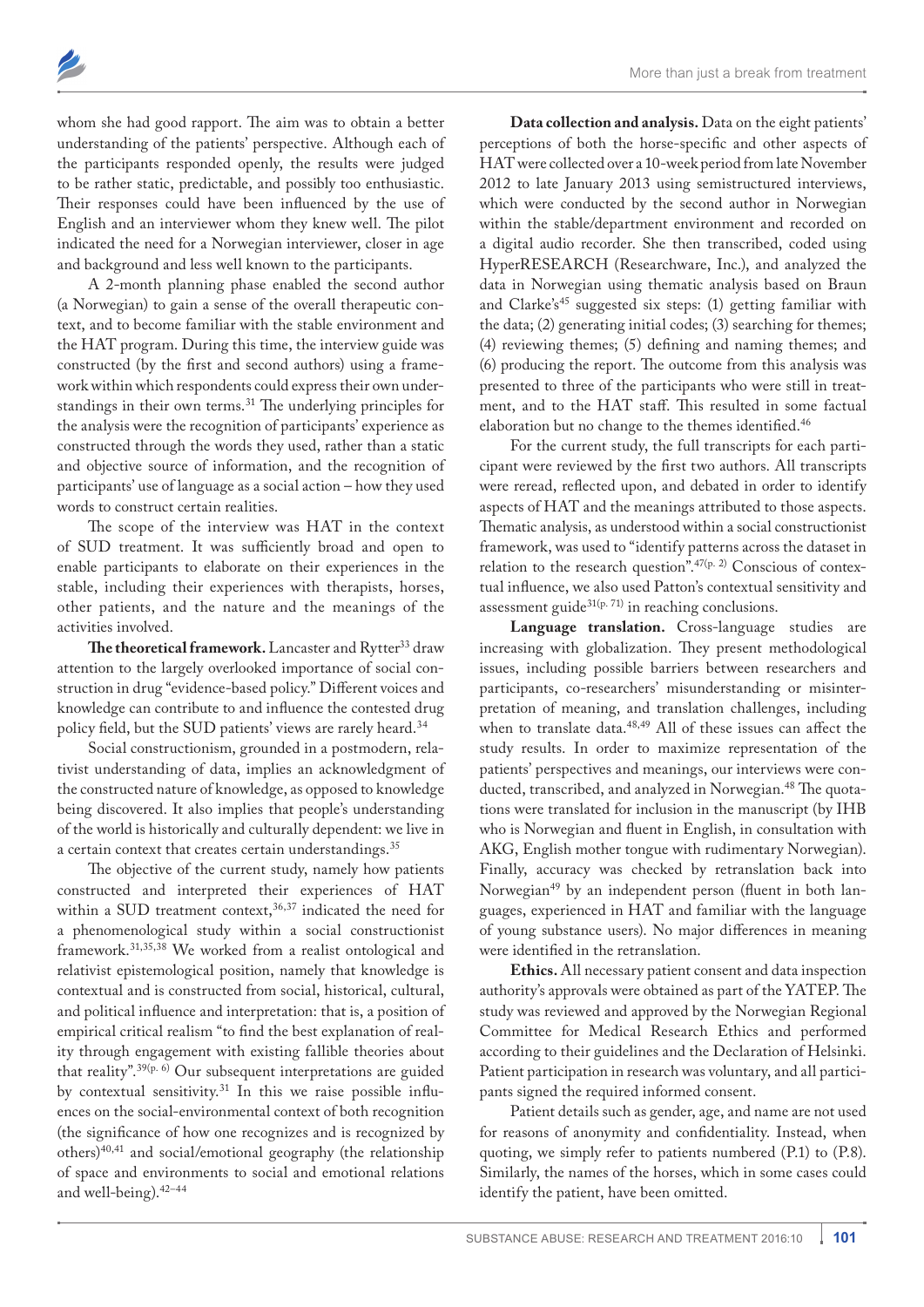whom she had good rapport. The aim was to obtain a better understanding of the patients' perspective. Although each of the participants responded openly, the results were judged to be rather static, predictable, and possibly too enthusiastic. Their responses could have been influenced by the use of English and an interviewer whom they knew well. The pilot indicated the need for a Norwegian interviewer, closer in age and background and less well known to the participants.

A 2-month planning phase enabled the second author (a Norwegian) to gain a sense of the overall therapeutic context, and to become familiar with the stable environment and the HAT program. During this time, the interview guide was constructed (by the first and second authors) using a framework within which respondents could express their own understandings in their own terms.<sup>31</sup> The underlying principles for the analysis were the recognition of participants' experience as constructed through the words they used, rather than a static and objective source of information, and the recognition of participants' use of language as a social action – how they used words to construct certain realities.

The scope of the interview was HAT in the context of SUD treatment. It was sufficiently broad and open to enable participants to elaborate on their experiences in the stable, including their experiences with therapists, horses, other patients, and the nature and the meanings of the activities involved.

The theoretical framework. Lancaster and Rytter<sup>33</sup> draw attention to the largely overlooked importance of social construction in drug "evidence-based policy." Different voices and knowledge can contribute to and influence the contested drug policy field, but the SUD patients' views are rarely heard.<sup>34</sup>

Social constructionism, grounded in a postmodern, relativist understanding of data, implies an acknowledgment of the constructed nature of knowledge, as opposed to knowledge being discovered. It also implies that people's understanding of the world is historically and culturally dependent: we live in a certain context that creates certain understandings.<sup>35</sup>

The objective of the current study, namely how patients constructed and interpreted their experiences of HAT within a SUD treatment context,<sup>36,37</sup> indicated the need for a phenomenological study within a social constructionist framework.31,35,38 We worked from a realist ontological and relativist epistemological position, namely that knowledge is contextual and is constructed from social, historical, cultural, and political influence and interpretation: that is, a position of empirical critical realism "to find the best explanation of reality through engagement with existing fallible theories about that reality".39(p. 6) Our subsequent interpretations are guided by contextual sensitivity.<sup>31</sup> In this we raise possible influences on the social-environmental context of both recognition (the significance of how one recognizes and is recognized by others)40,41 and social/emotional geography (the relationship of space and environments to social and emotional relations and well-being).42–44

**Data collection and analysis.** Data on the eight patients' perceptions of both the horse-specific and other aspects of HAT were collected over a 10-week period from late November 2012 to late January 2013 using semistructured interviews, which were conducted by the second author in Norwegian within the stable/department environment and recorded on a digital audio recorder. She then transcribed, coded using HyperRESEARCH (Researchware, Inc.), and analyzed the data in Norwegian using thematic analysis based on Braun and Clarke's<sup>45</sup> suggested six steps: (1) getting familiar with the data; (2) generating initial codes; (3) searching for themes; (4) reviewing themes; (5) defining and naming themes; and (6) producing the report. The outcome from this analysis was presented to three of the participants who were still in treatment, and to the HAT staff. This resulted in some factual elaboration but no change to the themes identified.<sup>46</sup>

For the current study, the full transcripts for each participant were reviewed by the first two authors. All transcripts were reread, reflected upon, and debated in order to identify aspects of HAT and the meanings attributed to those aspects. Thematic analysis, as understood within a social constructionist framework, was used to "identify patterns across the dataset in relation to the research question". $47(p. 2)$  Conscious of contextual influence, we also used Patton's contextual sensitivity and assessment guide<sup>31(p. 71)</sup> in reaching conclusions.

**Language translation.** Cross-language studies are increasing with globalization. They present methodological issues, including possible barriers between researchers and participants, co-researchers' misunderstanding or misinterpretation of meaning, and translation challenges, including when to translate data.<sup>48,49</sup> All of these issues can affect the study results. In order to maximize representation of the patients' perspectives and meanings, our interviews were conducted, transcribed, and analyzed in Norwegian.<sup>48</sup> The quotations were translated for inclusion in the manuscript (by IHB who is Norwegian and fluent in English, in consultation with AKG, English mother tongue with rudimentary Norwegian). Finally, accuracy was checked by retranslation back into Norwegian<sup>49</sup> by an independent person (fluent in both languages, experienced in HAT and familiar with the language of young substance users). No major differences in meaning were identified in the retranslation.

**Ethics.** All necessary patient consent and data inspection authority's approvals were obtained as part of the YATEP. The study was reviewed and approved by the Norwegian Regional Committee for Medical Research Ethics and performed according to their guidelines and the Declaration of Helsinki. Patient participation in research was voluntary, and all participants signed the required informed consent.

Patient details such as gender, age, and name are not used for reasons of anonymity and confidentiality. Instead, when quoting, we simply refer to patients numbered (P.1) to (P.8). Similarly, the names of the horses, which in some cases could identify the patient, have been omitted.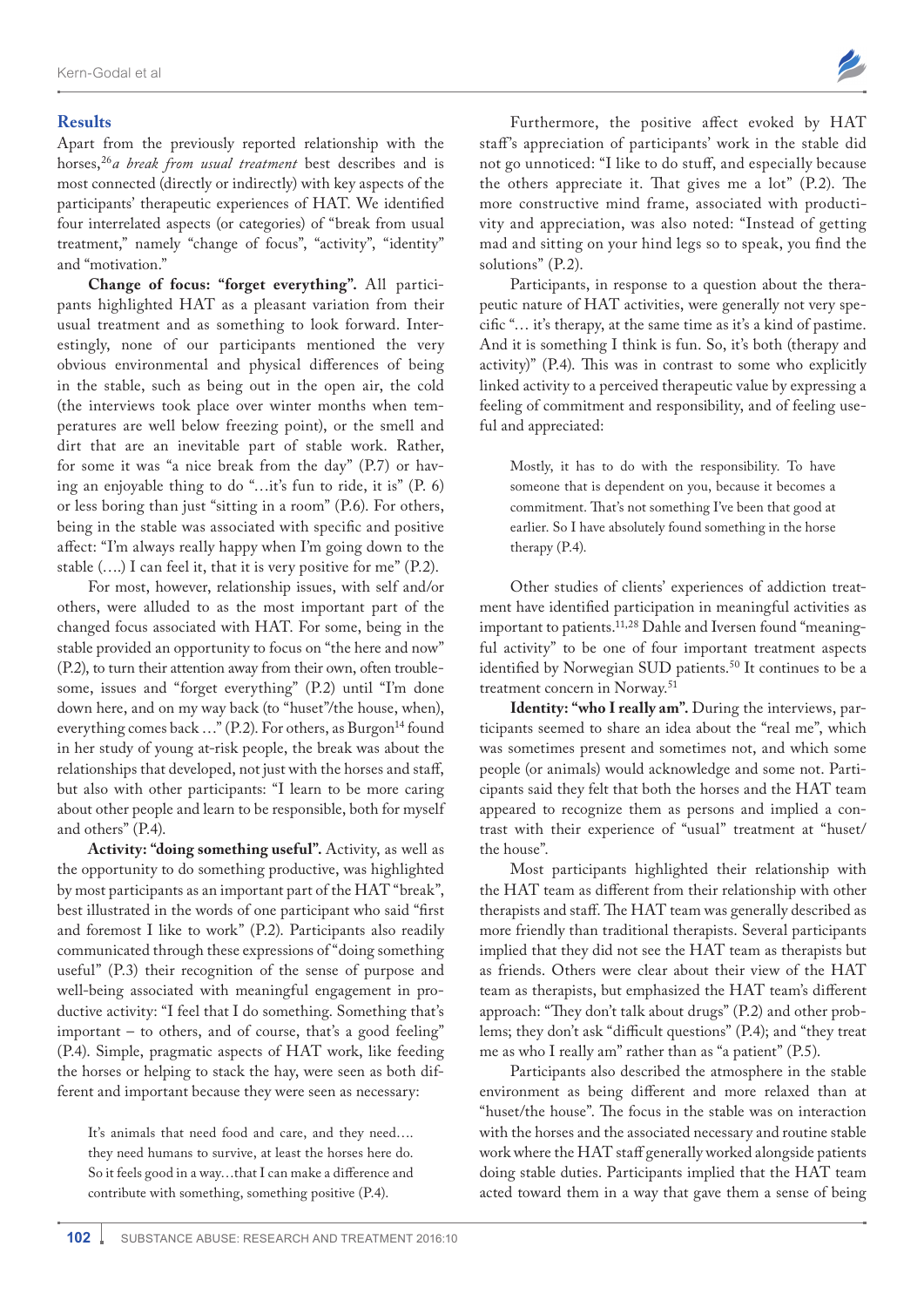# **Results**

Apart from the previously reported relationship with the horses,<sup>26</sup>*a break from usual treatment* best describes and is most connected (directly or indirectly) with key aspects of the participants' therapeutic experiences of HAT. We identified four interrelated aspects (or categories) of "break from usual treatment," namely "change of focus", "activity", "identity" and "motivation."

**Change of focus: "forget everything".** All participants highlighted HAT as a pleasant variation from their usual treatment and as something to look forward. Interestingly, none of our participants mentioned the very obvious environmental and physical differences of being in the stable, such as being out in the open air, the cold (the interviews took place over winter months when temperatures are well below freezing point), or the smell and dirt that are an inevitable part of stable work. Rather, for some it was "a nice break from the day" (P.7) or having an enjoyable thing to do "…it's fun to ride, it is" (P. 6) or less boring than just "sitting in a room" (P.6). For others, being in the stable was associated with specific and positive affect: "I'm always really happy when I'm going down to the stable (….) I can feel it, that it is very positive for me" (P.2).

For most, however, relationship issues, with self and/or others, were alluded to as the most important part of the changed focus associated with HAT. For some, being in the stable provided an opportunity to focus on "the here and now" (P.2), to turn their attention away from their own, often troublesome, issues and "forget everything" (P.2) until "I'm done down here, and on my way back (to "huset"/the house, when), everything comes back ..." (P.2). For others, as Burgon<sup>14</sup> found in her study of young at-risk people, the break was about the relationships that developed, not just with the horses and staff, but also with other participants: "I learn to be more caring about other people and learn to be responsible, both for myself and others" (P.4).

**Activity: "doing something useful".** Activity, as well as the opportunity to do something productive, was highlighted by most participants as an important part of the HAT "break", best illustrated in the words of one participant who said "first and foremost I like to work" (P.2). Participants also readily communicated through these expressions of "doing something useful" (P.3) their recognition of the sense of purpose and well-being associated with meaningful engagement in productive activity: "I feel that I do something. Something that's important – to others, and of course, that's a good feeling" (P.4). Simple, pragmatic aspects of HAT work, like feeding the horses or helping to stack the hay, were seen as both different and important because they were seen as necessary:

It's animals that need food and care, and they need…. they need humans to survive, at least the horses here do. So it feels good in a way…that I can make a difference and contribute with something, something positive (P.4).

Furthermore, the positive affect evoked by HAT staff's appreciation of participants' work in the stable did not go unnoticed: "I like to do stuff, and especially because the others appreciate it. That gives me a lot" (P.2). The more constructive mind frame, associated with productivity and appreciation, was also noted: "Instead of getting mad and sitting on your hind legs so to speak, you find the solutions" (P.2).

Participants, in response to a question about the therapeutic nature of HAT activities, were generally not very specific "… it's therapy, at the same time as it's a kind of pastime. And it is something I think is fun. So, it's both (therapy and activity)" (P.4). This was in contrast to some who explicitly linked activity to a perceived therapeutic value by expressing a feeling of commitment and responsibility, and of feeling useful and appreciated:

Mostly, it has to do with the responsibility. To have someone that is dependent on you, because it becomes a commitment. That's not something I've been that good at earlier. So I have absolutely found something in the horse therapy (P.4).

Other studies of clients' experiences of addiction treatment have identified participation in meaningful activities as important to patients.<sup>11,28</sup> Dahle and Iversen found "meaningful activity" to be one of four important treatment aspects identified by Norwegian SUD patients.<sup>50</sup> It continues to be a treatment concern in Norway.<sup>51</sup>

**Identity: "who I really am".** During the interviews, participants seemed to share an idea about the "real me", which was sometimes present and sometimes not, and which some people (or animals) would acknowledge and some not. Participants said they felt that both the horses and the HAT team appeared to recognize them as persons and implied a contrast with their experience of "usual" treatment at "huset/ the house".

Most participants highlighted their relationship with the HAT team as different from their relationship with other therapists and staff. The HAT team was generally described as more friendly than traditional therapists. Several participants implied that they did not see the HAT team as therapists but as friends. Others were clear about their view of the HAT team as therapists, but emphasized the HAT team's different approach: "They don't talk about drugs" (P.2) and other problems; they don't ask "difficult questions" (P.4); and "they treat me as who I really am" rather than as "a patient" (P.5).

Participants also described the atmosphere in the stable environment as being different and more relaxed than at "huset/the house". The focus in the stable was on interaction with the horses and the associated necessary and routine stable work where the HAT staff generally worked alongside patients doing stable duties. Participants implied that the HAT team acted toward them in a way that gave them a sense of being

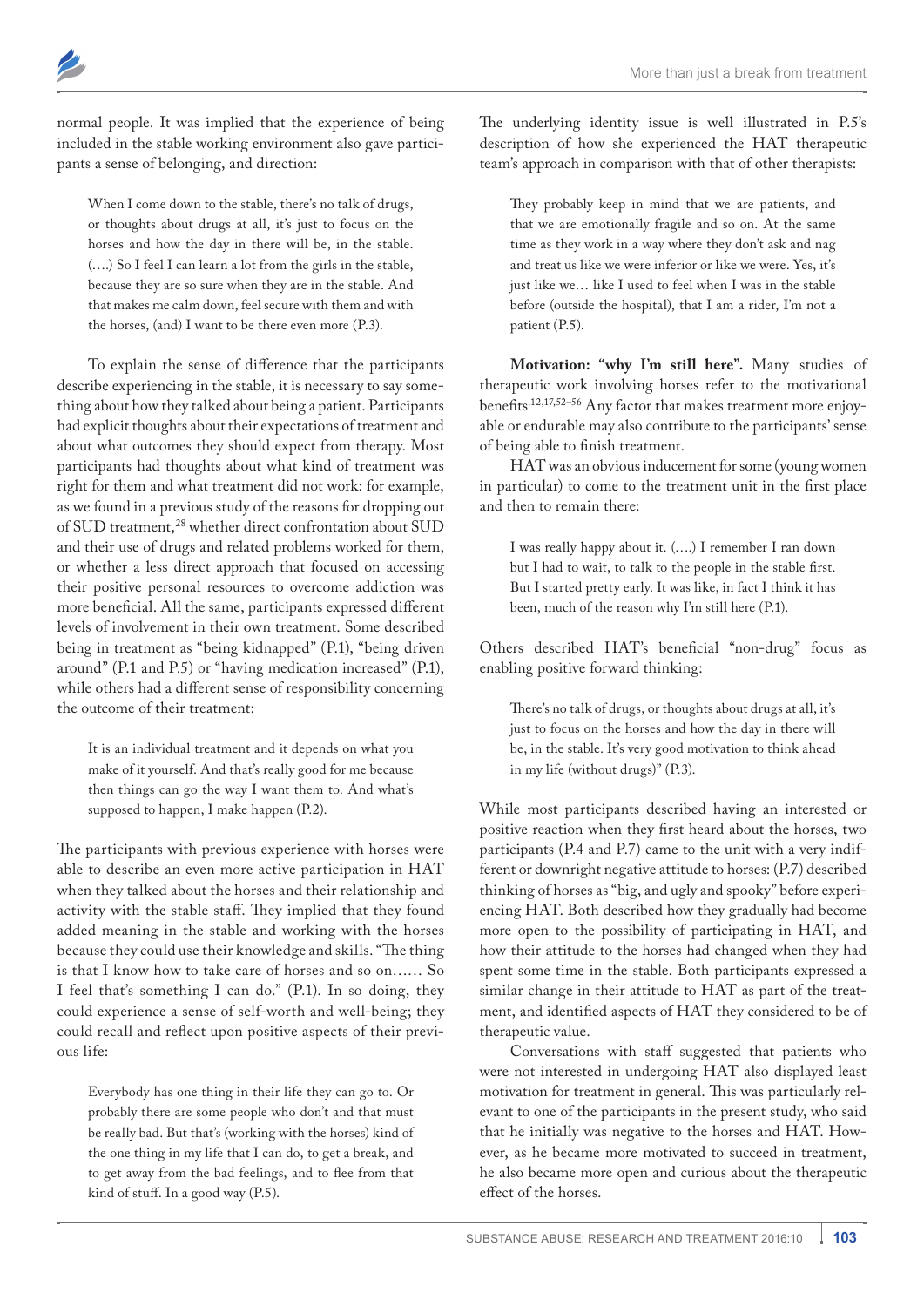

normal people. It was implied that the experience of being included in the stable working environment also gave participants a sense of belonging, and direction:

When I come down to the stable, there's no talk of drugs, or thoughts about drugs at all, it's just to focus on the horses and how the day in there will be, in the stable. (….) So I feel I can learn a lot from the girls in the stable, because they are so sure when they are in the stable. And that makes me calm down, feel secure with them and with the horses, (and) I want to be there even more (P.3).

To explain the sense of difference that the participants describe experiencing in the stable, it is necessary to say something about how they talked about being a patient. Participants had explicit thoughts about their expectations of treatment and about what outcomes they should expect from therapy. Most participants had thoughts about what kind of treatment was right for them and what treatment did not work: for example, as we found in a previous study of the reasons for dropping out of SUD treatment,<sup>28</sup> whether direct confrontation about SUD and their use of drugs and related problems worked for them, or whether a less direct approach that focused on accessing their positive personal resources to overcome addiction was more beneficial. All the same, participants expressed different levels of involvement in their own treatment. Some described being in treatment as "being kidnapped" (P.1), "being driven around" (P.1 and P.5) or "having medication increased" (P.1), while others had a different sense of responsibility concerning the outcome of their treatment:

It is an individual treatment and it depends on what you make of it yourself. And that's really good for me because then things can go the way I want them to. And what's supposed to happen, I make happen (P.2).

The participants with previous experience with horses were able to describe an even more active participation in HAT when they talked about the horses and their relationship and activity with the stable staff. They implied that they found added meaning in the stable and working with the horses because they could use their knowledge and skills. "The thing is that I know how to take care of horses and so on…… So I feel that's something I can do." (P.1). In so doing, they could experience a sense of self-worth and well-being; they could recall and reflect upon positive aspects of their previous life:

Everybody has one thing in their life they can go to. Or probably there are some people who don't and that must be really bad. But that's (working with the horses) kind of the one thing in my life that I can do, to get a break, and to get away from the bad feelings, and to flee from that kind of stuff. In a good way (P.5).

The underlying identity issue is well illustrated in P.5's description of how she experienced the HAT therapeutic team's approach in comparison with that of other therapists:

They probably keep in mind that we are patients, and that we are emotionally fragile and so on. At the same time as they work in a way where they don't ask and nag and treat us like we were inferior or like we were. Yes, it's just like we... like I used to feel when I was in the stable before (outside the hospital), that I am a rider, I'm not a patient (P.5).

**Motivation: "why I'm still here".** Many studies of therapeutic work involving horses refer to the motivational benefits.12,17,52–56 Any factor that makes treatment more enjoyable or endurable may also contribute to the participants' sense of being able to finish treatment.

HAT was an obvious inducement for some (young women in particular) to come to the treatment unit in the first place and then to remain there:

I was really happy about it. (….) I remember I ran down but I had to wait, to talk to the people in the stable first. But I started pretty early. It was like, in fact I think it has been, much of the reason why I'm still here (P.1).

Others described HAT's beneficial "non-drug" focus as enabling positive forward thinking:

There's no talk of drugs, or thoughts about drugs at all, it's just to focus on the horses and how the day in there will be, in the stable. It's very good motivation to think ahead in my life (without drugs)" (P.3).

While most participants described having an interested or positive reaction when they first heard about the horses, two participants (P.4 and P.7) came to the unit with a very indifferent or downright negative attitude to horses: (P.7) described thinking of horses as "big, and ugly and spooky" before experiencing HAT. Both described how they gradually had become more open to the possibility of participating in HAT, and how their attitude to the horses had changed when they had spent some time in the stable. Both participants expressed a similar change in their attitude to HAT as part of the treatment, and identified aspects of HAT they considered to be of therapeutic value.

Conversations with staff suggested that patients who were not interested in undergoing HAT also displayed least motivation for treatment in general. This was particularly relevant to one of the participants in the present study, who said that he initially was negative to the horses and HAT. However, as he became more motivated to succeed in treatment, he also became more open and curious about the therapeutic effect of the horses.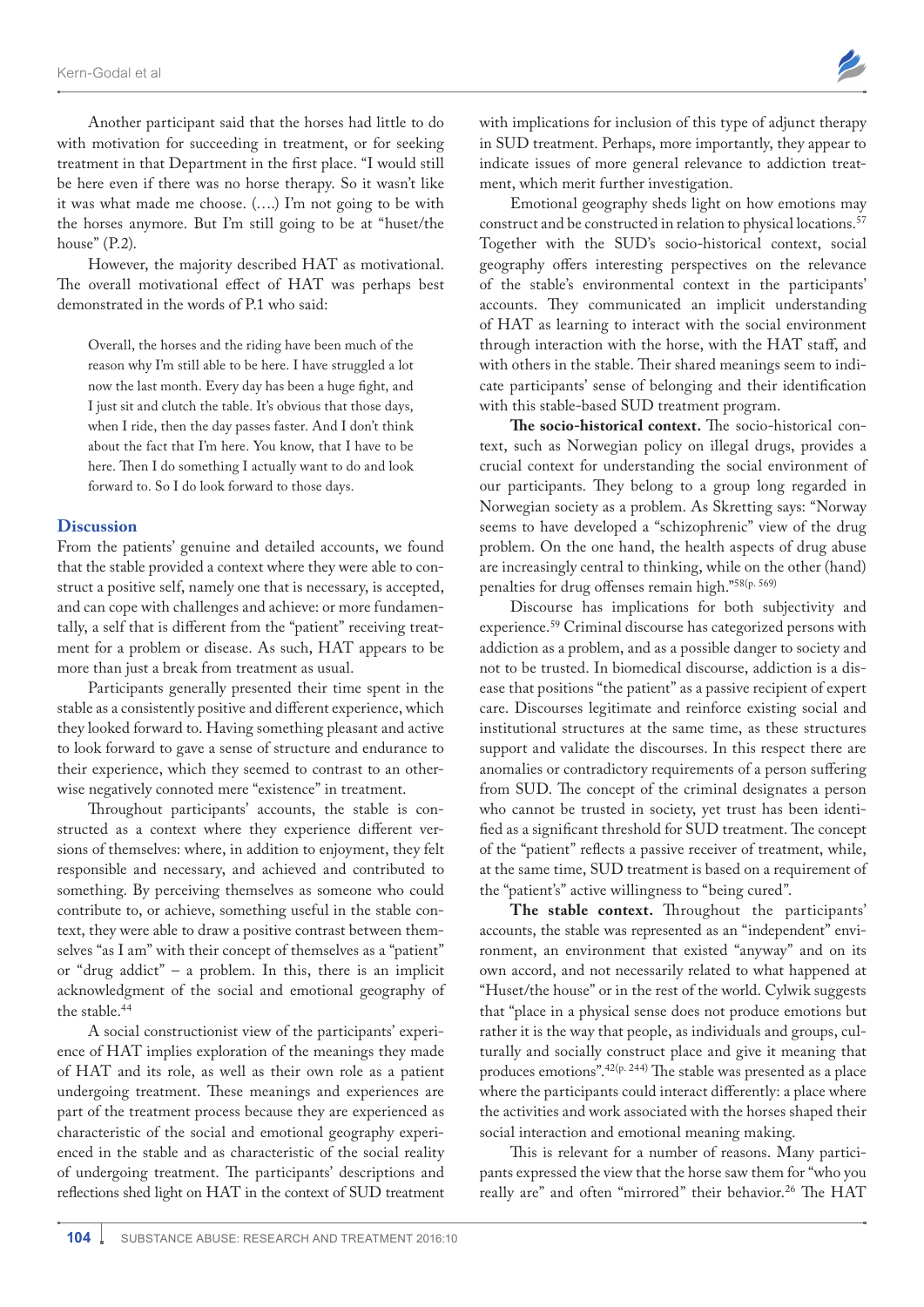Another participant said that the horses had little to do with motivation for succeeding in treatment, or for seeking treatment in that Department in the first place. "I would still be here even if there was no horse therapy. So it wasn't like it was what made me choose. (….) I'm not going to be with the horses anymore. But I'm still going to be at "huset/the house" (P.2).

However, the majority described HAT as motivational. The overall motivational effect of HAT was perhaps best demonstrated in the words of P.1 who said:

Overall, the horses and the riding have been much of the reason why I'm still able to be here. I have struggled a lot now the last month. Every day has been a huge fight, and I just sit and clutch the table. It's obvious that those days, when I ride, then the day passes faster. And I don't think about the fact that I'm here. You know, that I have to be here. Then I do something I actually want to do and look forward to. So I do look forward to those days.

#### **Discussion**

From the patients' genuine and detailed accounts, we found that the stable provided a context where they were able to construct a positive self, namely one that is necessary, is accepted, and can cope with challenges and achieve: or more fundamentally, a self that is different from the "patient" receiving treatment for a problem or disease. As such, HAT appears to be more than just a break from treatment as usual.

Participants generally presented their time spent in the stable as a consistently positive and different experience, which they looked forward to. Having something pleasant and active to look forward to gave a sense of structure and endurance to their experience, which they seemed to contrast to an otherwise negatively connoted mere "existence" in treatment.

Throughout participants' accounts, the stable is constructed as a context where they experience different versions of themselves: where, in addition to enjoyment, they felt responsible and necessary, and achieved and contributed to something. By perceiving themselves as someone who could contribute to, or achieve, something useful in the stable context, they were able to draw a positive contrast between themselves "as I am" with their concept of themselves as a "patient" or "drug addict" – a problem. In this, there is an implicit acknowledgment of the social and emotional geography of the stable.44

A social constructionist view of the participants' experience of HAT implies exploration of the meanings they made of HAT and its role, as well as their own role as a patient undergoing treatment. These meanings and experiences are part of the treatment process because they are experienced as characteristic of the social and emotional geography experienced in the stable and as characteristic of the social reality of undergoing treatment. The participants' descriptions and reflections shed light on HAT in the context of SUD treatment with implications for inclusion of this type of adjunct therapy in SUD treatment. Perhaps, more importantly, they appear to indicate issues of more general relevance to addiction treatment, which merit further investigation.

Emotional geography sheds light on how emotions may construct and be constructed in relation to physical locations.<sup>57</sup> Together with the SUD's socio-historical context, social geography offers interesting perspectives on the relevance of the stable's environmental context in the participants' accounts. They communicated an implicit understanding of HAT as learning to interact with the social environment through interaction with the horse, with the HAT staff, and with others in the stable. Their shared meanings seem to indicate participants' sense of belonging and their identification with this stable-based SUD treatment program.

**The socio-historical context.** The socio-historical context, such as Norwegian policy on illegal drugs, provides a crucial context for understanding the social environment of our participants. They belong to a group long regarded in Norwegian society as a problem. As Skretting says: "Norway seems to have developed a "schizophrenic" view of the drug problem. On the one hand, the health aspects of drug abuse are increasingly central to thinking, while on the other (hand) penalties for drug offenses remain high."58(p. 569)

Discourse has implications for both subjectivity and experience.59 Criminal discourse has categorized persons with addiction as a problem, and as a possible danger to society and not to be trusted. In biomedical discourse, addiction is a disease that positions "the patient" as a passive recipient of expert care. Discourses legitimate and reinforce existing social and institutional structures at the same time, as these structures support and validate the discourses. In this respect there are anomalies or contradictory requirements of a person suffering from SUD. The concept of the criminal designates a person who cannot be trusted in society, yet trust has been identified as a significant threshold for SUD treatment. The concept of the "patient" reflects a passive receiver of treatment, while, at the same time, SUD treatment is based on a requirement of the "patient's" active willingness to "being cured".

**The stable context.** Throughout the participants' accounts, the stable was represented as an "independent" environment, an environment that existed "anyway" and on its own accord, and not necessarily related to what happened at "Huset/the house" or in the rest of the world. Cylwik suggests that "place in a physical sense does not produce emotions but rather it is the way that people, as individuals and groups, culturally and socially construct place and give it meaning that produces emotions".42(p. 244) The stable was presented as a place where the participants could interact differently: a place where the activities and work associated with the horses shaped their social interaction and emotional meaning making.

This is relevant for a number of reasons. Many participants expressed the view that the horse saw them for "who you really are" and often "mirrored" their behavior.<sup>26</sup> The HAT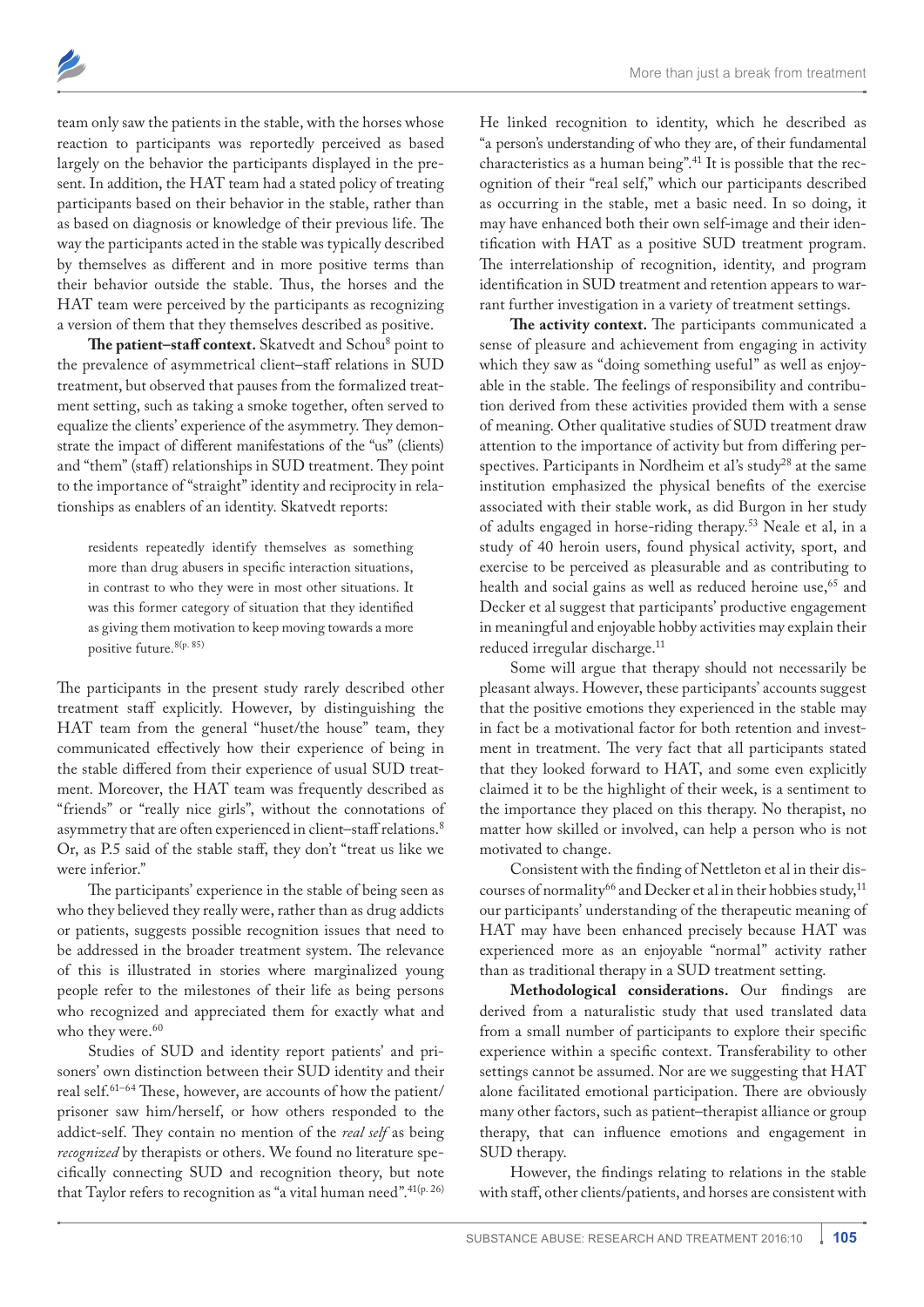

team only saw the patients in the stable, with the horses whose reaction to participants was reportedly perceived as based largely on the behavior the participants displayed in the present. In addition, the HAT team had a stated policy of treating participants based on their behavior in the stable, rather than as based on diagnosis or knowledge of their previous life. The way the participants acted in the stable was typically described by themselves as different and in more positive terms than their behavior outside the stable. Thus, the horses and the HAT team were perceived by the participants as recognizing a version of them that they themselves described as positive.

**The patient–staff context.** Skatvedt and Schou<sup>8</sup> point to the prevalence of asymmetrical client–staff relations in SUD treatment, but observed that pauses from the formalized treatment setting, such as taking a smoke together, often served to equalize the clients' experience of the asymmetry. They demonstrate the impact of different manifestations of the "us" (clients) and "them" (staff) relationships in SUD treatment. They point to the importance of "straight" identity and reciprocity in relationships as enablers of an identity. Skatvedt reports:

residents repeatedly identify themselves as something more than drug abusers in specific interaction situations, in contrast to who they were in most other situations. It was this former category of situation that they identified as giving them motivation to keep moving towards a more positive future. 8(p. 85)

The participants in the present study rarely described other treatment staff explicitly. However, by distinguishing the HAT team from the general "huset/the house" team, they communicated effectively how their experience of being in the stable differed from their experience of usual SUD treatment. Moreover, the HAT team was frequently described as "friends" or "really nice girls", without the connotations of asymmetry that are often experienced in client–staff relations.<sup>8</sup> Or, as P.5 said of the stable staff, they don't "treat us like we were inferior."

The participants' experience in the stable of being seen as who they believed they really were, rather than as drug addicts or patients, suggests possible recognition issues that need to be addressed in the broader treatment system. The relevance of this is illustrated in stories where marginalized young people refer to the milestones of their life as being persons who recognized and appreciated them for exactly what and who they were.<sup>60</sup>

Studies of SUD and identity report patients' and prisoners' own distinction between their SUD identity and their real self.61–64 These, however, are accounts of how the patient/ prisoner saw him/herself, or how others responded to the addict-self. They contain no mention of the *real self* as being *recognized* by therapists or others. We found no literature specifically connecting SUD and recognition theory, but note that Taylor refers to recognition as "a vital human need".<sup>41(p. 26)</sup>

He linked recognition to identity, which he described as "a person's understanding of who they are, of their fundamental characteristics as a human being".41 It is possible that the recognition of their "real self," which our participants described as occurring in the stable, met a basic need. In so doing, it may have enhanced both their own self-image and their identification with HAT as a positive SUD treatment program. The interrelationship of recognition, identity, and program identification in SUD treatment and retention appears to warrant further investigation in a variety of treatment settings.

**The activity context.** The participants communicated a sense of pleasure and achievement from engaging in activity which they saw as "doing something useful" as well as enjoyable in the stable. The feelings of responsibility and contribution derived from these activities provided them with a sense of meaning. Other qualitative studies of SUD treatment draw attention to the importance of activity but from differing perspectives. Participants in Nordheim et al's study<sup>28</sup> at the same institution emphasized the physical benefits of the exercise associated with their stable work, as did Burgon in her study of adults engaged in horse-riding therapy.<sup>53</sup> Neale et al, in a study of 40 heroin users, found physical activity, sport, and exercise to be perceived as pleasurable and as contributing to health and social gains as well as reduced heroine use,<sup>65</sup> and Decker et al suggest that participants' productive engagement in meaningful and enjoyable hobby activities may explain their reduced irregular discharge.<sup>11</sup>

Some will argue that therapy should not necessarily be pleasant always. However, these participants' accounts suggest that the positive emotions they experienced in the stable may in fact be a motivational factor for both retention and investment in treatment. The very fact that all participants stated that they looked forward to HAT, and some even explicitly claimed it to be the highlight of their week, is a sentiment to the importance they placed on this therapy. No therapist, no matter how skilled or involved, can help a person who is not motivated to change.

Consistent with the finding of Nettleton et al in their discourses of normality<sup>66</sup> and Decker et al in their hobbies study,<sup>11</sup> our participants' understanding of the therapeutic meaning of HAT may have been enhanced precisely because HAT was experienced more as an enjoyable "normal" activity rather than as traditional therapy in a SUD treatment setting.

**Methodological considerations.** Our findings are derived from a naturalistic study that used translated data from a small number of participants to explore their specific experience within a specific context. Transferability to other settings cannot be assumed. Nor are we suggesting that HAT alone facilitated emotional participation. There are obviously many other factors, such as patient–therapist alliance or group therapy, that can influence emotions and engagement in SUD therapy.

However, the findings relating to relations in the stable with staff, other clients/patients, and horses are consistent with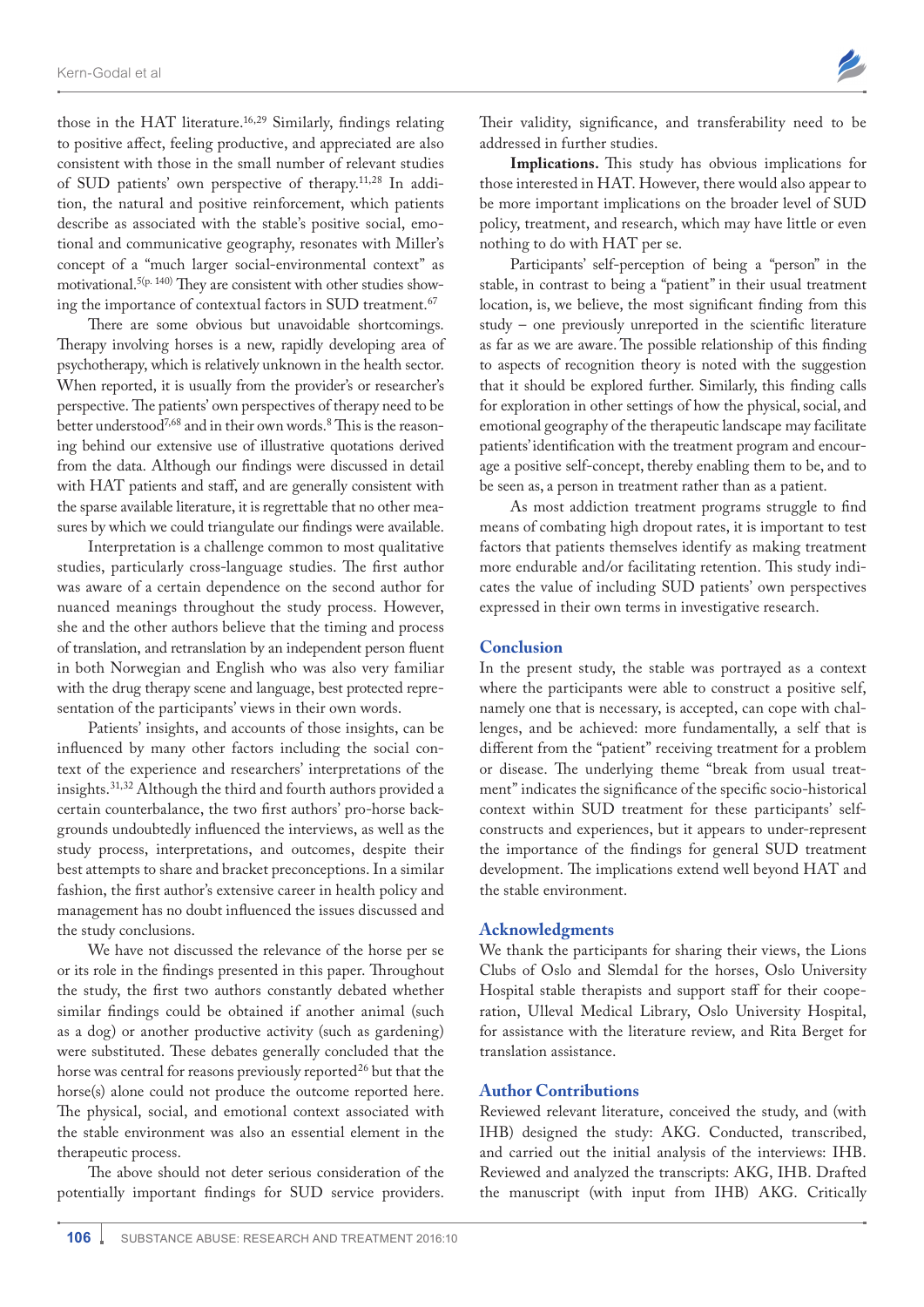those in the HAT literature.<sup>16,29</sup> Similarly, findings relating to positive affect, feeling productive, and appreciated are also consistent with those in the small number of relevant studies of SUD patients' own perspective of therapy.11,28 In addition, the natural and positive reinforcement, which patients describe as associated with the stable's positive social, emotional and communicative geography, resonates with Miller's concept of a "much larger social-environmental context" as motivational.5(p. 140) They are consistent with other studies showing the importance of contextual factors in SUD treatment.<sup>67</sup>

There are some obvious but unavoidable shortcomings. Therapy involving horses is a new, rapidly developing area of psychotherapy, which is relatively unknown in the health sector. When reported, it is usually from the provider's or researcher's perspective. The patients' own perspectives of therapy need to be better understood<sup>7,68</sup> and in their own words.<sup>8</sup> This is the reasoning behind our extensive use of illustrative quotations derived from the data. Although our findings were discussed in detail with HAT patients and staff, and are generally consistent with the sparse available literature, it is regrettable that no other measures by which we could triangulate our findings were available.

Interpretation is a challenge common to most qualitative studies, particularly cross-language studies. The first author was aware of a certain dependence on the second author for nuanced meanings throughout the study process. However, she and the other authors believe that the timing and process of translation, and retranslation by an independent person fluent in both Norwegian and English who was also very familiar with the drug therapy scene and language, best protected representation of the participants' views in their own words.

Patients' insights, and accounts of those insights, can be influenced by many other factors including the social context of the experience and researchers' interpretations of the insights.31,32 Although the third and fourth authors provided a certain counterbalance, the two first authors' pro-horse backgrounds undoubtedly influenced the interviews, as well as the study process, interpretations, and outcomes, despite their best attempts to share and bracket preconceptions. In a similar fashion, the first author's extensive career in health policy and management has no doubt influenced the issues discussed and the study conclusions.

We have not discussed the relevance of the horse per se or its role in the findings presented in this paper. Throughout the study, the first two authors constantly debated whether similar findings could be obtained if another animal (such as a dog) or another productive activity (such as gardening) were substituted. These debates generally concluded that the horse was central for reasons previously reported<sup>26</sup> but that the horse(s) alone could not produce the outcome reported here. The physical, social, and emotional context associated with the stable environment was also an essential element in the therapeutic process.

The above should not deter serious consideration of the potentially important findings for SUD service providers.

Their validity, significance, and transferability need to be addressed in further studies.

**Implications.** This study has obvious implications for those interested in HAT. However, there would also appear to be more important implications on the broader level of SUD policy, treatment, and research, which may have little or even nothing to do with HAT per se.

Participants' self-perception of being a "person" in the stable, in contrast to being a "patient" in their usual treatment location, is, we believe, the most significant finding from this study – one previously unreported in the scientific literature as far as we are aware. The possible relationship of this finding to aspects of recognition theory is noted with the suggestion that it should be explored further. Similarly, this finding calls for exploration in other settings of how the physical, social, and emotional geography of the therapeutic landscape may facilitate patients' identification with the treatment program and encourage a positive self-concept, thereby enabling them to be, and to be seen as, a person in treatment rather than as a patient.

As most addiction treatment programs struggle to find means of combating high dropout rates, it is important to test factors that patients themselves identify as making treatment more endurable and/or facilitating retention. This study indicates the value of including SUD patients' own perspectives expressed in their own terms in investigative research.

# **Conclusion**

In the present study, the stable was portrayed as a context where the participants were able to construct a positive self, namely one that is necessary, is accepted, can cope with challenges, and be achieved: more fundamentally, a self that is different from the "patient" receiving treatment for a problem or disease. The underlying theme "break from usual treatment" indicates the significance of the specific socio-historical context within SUD treatment for these participants' selfconstructs and experiences, but it appears to under-represent the importance of the findings for general SUD treatment development. The implications extend well beyond HAT and the stable environment.

### **Acknowledgments**

We thank the participants for sharing their views, the Lions Clubs of Oslo and Slemdal for the horses, Oslo University Hospital stable therapists and support staff for their cooperation, Ulleval Medical Library, Oslo University Hospital, for assistance with the literature review, and Rita Berget for translation assistance.

# **Author Contributions**

Reviewed relevant literature, conceived the study, and (with IHB) designed the study: AKG. Conducted, transcribed, and carried out the initial analysis of the interviews: IHB. Reviewed and analyzed the transcripts: AKG, IHB. Drafted the manuscript (with input from IHB) AKG. Critically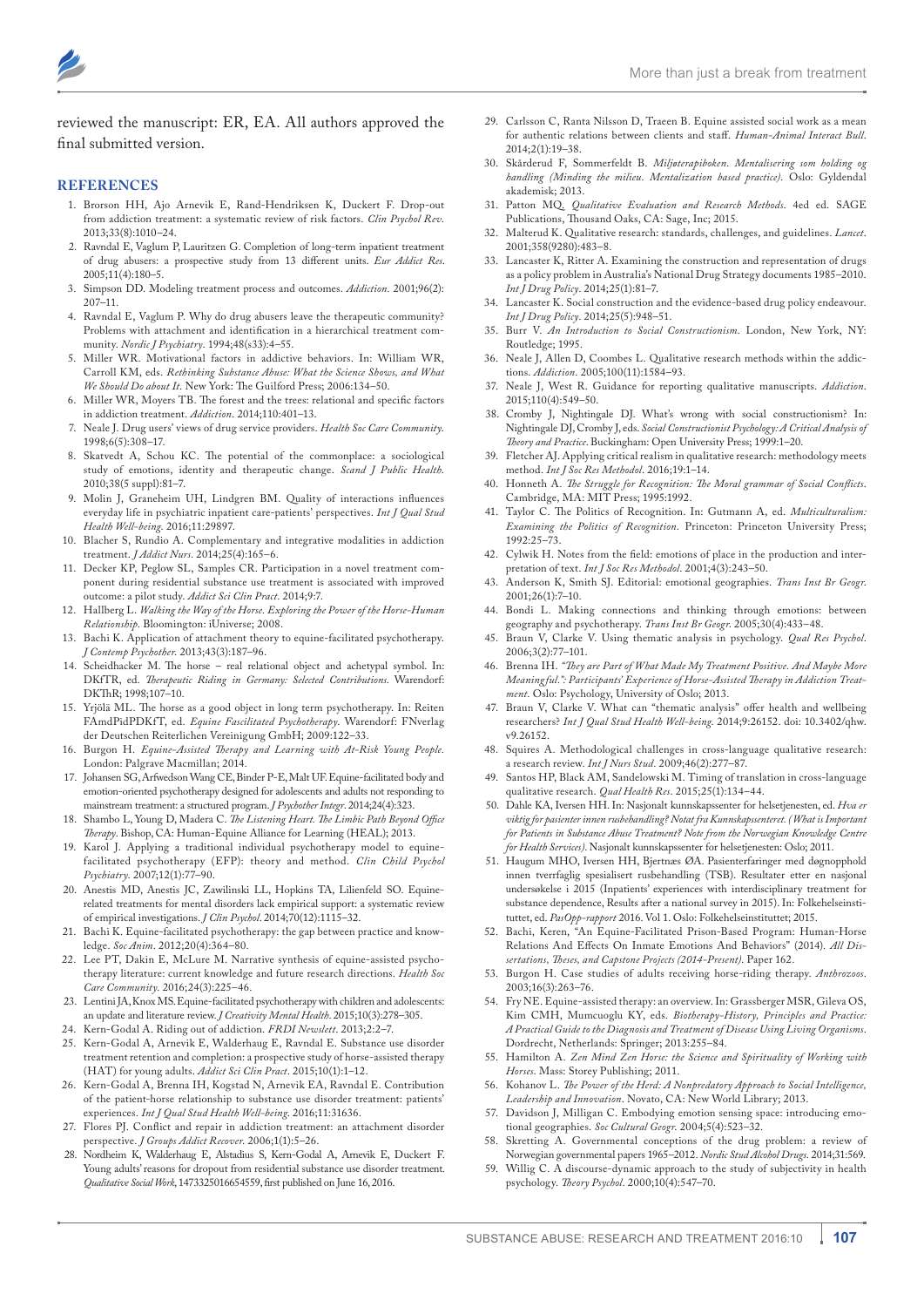reviewed the manuscript: ER, EA. All authors approved the final submitted version.

#### **References**

- 1. Brorson HH, Ajo Arnevik E, Rand-Hendriksen K, Duckert F. Drop-out from addiction treatment: a systematic review of risk factors. *Clin Psychol Rev*. 2013;33(8):1010–24.
- 2. Ravndal E, Vaglum P, Lauritzen G. Completion of long-term inpatient treatment of drug abusers: a prospective study from 13 different units. *Eur Addict Res*. 2005;11(4):180–5.
- 3. Simpson DD. Modeling treatment process and outcomes. *Addiction*. 2001;96(2): 207–11.
- 4. Ravndal E, Vaglum P. Why do drug abusers leave the therapeutic community? Problems with attachment and identification in a hierarchical treatment community. *Nordic J Psychiatry*. 1994;48(s33):4–55.
- 5. Miller WR. Motivational factors in addictive behaviors. In: William WR, Carroll KM, eds. *Rethinking Substance Abuse: What the Science Shows, and What We Should Do about It*. New York: The Guilford Press; 2006:134–50.
- 6. Miller WR, Moyers TB. The forest and the trees: relational and specific factors in addiction treatment. *Addiction*. 2014;110:401–13.
- 7. Neale J. Drug users' views of drug service providers. *Health Soc Care Community*. 1998;6(5):308–17.
- 8. Skatvedt A, Schou KC. The potential of the commonplace: a sociological study of emotions, identity and therapeutic change. *Scand J Public Health*. 2010;38(5 suppl):81–7.
- 9. Molin J, Graneheim UH, Lindgren BM. Quality of interactions influences everyday life in psychiatric inpatient care-patients' perspectives. *Int J Qual Stud Health Well-being*. 2016;11:29897.
- 10. Blacher S, Rundio A. Complementary and integrative modalities in addiction treatment. *J Addict Nurs*. 2014;25(4):165–6.
- 11. Decker KP, Peglow SL, Samples CR. Participation in a novel treatment component during residential substance use treatment is associated with improved outcome: a pilot study. *Addict Sci Clin Pract*. 2014;9:7.
- 12. Hallberg L. *Walking the Way of the Horse. Exploring the Power of the Horse-Human Relationship*. Bloomington: iUniverse; 2008.
- 13. Bachi K. Application of attachment theory to equine-facilitated psychotherapy. *J Contemp Psychother*. 2013;43(3):187–96.
- 14. Scheidhacker M. The horse real relational object and achetypal symbol. In: DKfTR, ed. *Therapeutic Riding in Germany: Selected Contributions*. Warendorf: DKThR; 1998;107–10.
- 15. Yrjölä ML. The horse as a good object in long term psychotherapy. In: Reiten FAmdPidPDKfT, ed. *Equine Fascilitated Psychotherapy*. Warendorf: FNverlag der Deutschen Reiterlichen Vereinigung GmbH; 2009:122–33.
- 16. Burgon H. *Equine-Assisted Therapy and Learning with At-Risk Young People*. London: Palgrave Macmillan; 2014.
- 17. Johansen SG, Arfwedson Wang CE, Binder P-E, Malt UF. Equine-facilitated body and emotion-oriented psychotherapy designed for adolescents and adults not responding to mainstream treatment: a structured program. *J Psychother Integr*. 2014;24(4):323.
- 18. Shambo L, Young D, Madera C. *The Listening Heart. The Limbic Path Beyond Office Therapy*. Bishop, CA: Human-Equine Alliance for Learning (HEAL); 2013.
- 19. Karol J. Applying a traditional individual psychotherapy model to equinefacilitated psychotherapy (EFP): theory and method. *Clin Child Psychol Psychiatry*. 2007;12(1):77–90.
- 20. Anestis MD, Anestis JC, Zawilinski LL, Hopkins TA, Lilienfeld SO. Equinerelated treatments for mental disorders lack empirical support: a systematic review of empirical investigations. *J Clin Psychol*. 2014;70(12):1115–32.
- 21. Bachi K. Equine-facilitated psychotherapy: the gap between practice and knowledge. *Soc Anim*. 2012;20(4):364–80.
- 22. Lee PT, Dakin E, McLure M. Narrative synthesis of equine-assisted psychotherapy literature: current knowledge and future research directions. *Health Soc Care Community*. 2016;24(3):225–46.
- 23. Lentini JA, Knox MS. Equine-facilitated psychotherapy with children and adolescents: an update and literature review. *J Creativity Mental Health*. 2015;10(3):278–305.
- 24. Kern-Godal A. Riding out of addiction. *FRDI Newslett*. 2013;2:2–7.
- 25. Kern-Godal A, Arnevik E, Walderhaug E, Ravndal E. Substance use disorder treatment retention and completion: a prospective study of horse-assisted therapy (HAT) for young adults. *Addict Sci Clin Pract*. 2015;10(1):1–12.
- 26. Kern-Godal A, Brenna IH, Kogstad N, Arnevik EA, Ravndal E. Contribution of the patient-horse relationship to substance use disorder treatment: patients' experiences. *Int J Qual Stud Health Well-being*. 2016;11:31636.
- 27. Flores PJ. Conflict and repair in addiction treatment: an attachment disorder perspective. *J Groups Addict Recover*. 2006;1(1):5–26.
- 28. Nordheim K, Walderhaug E, Alstadius S, Kern-Godal A, Arnevik E, Duckert F. Young adults' reasons for dropout from residential substance use disorder treatment. *Qualitative Social Work*, 1473325016654559, first published on June 16, 2016.
- 29. Carlsson C, Ranta Nilsson D, Traeen B. Equine assisted social work as a mean for authentic relations between clients and staff. *Human-Animal Interact Bull*. 2014;2(1):19–38.
- 30. Skårderud F, Sommerfeldt B. *Miljøterapiboken. Mentalisering som holding og handling (Minding the milieu. Mentalization based practice)*. Oslo: Gyldendal akademisk; 2013.
- 31. Patton MQ. *Qualitative Evaluation and Research Methods*. 4ed ed. SAGE Publications, Thousand Oaks, CA: Sage, Inc; 2015.
- 32. Malterud K. Qualitative research: standards, challenges, and guidelines. *Lancet*. 2001;358(9280):483–8.
- 33. Lancaster K, Ritter A. Examining the construction and representation of drugs as a policy problem in Australia's National Drug Strategy documents 1985–2010. *Int J Drug Policy*. 2014;25(1):81–7.
- 34. Lancaster K. Social construction and the evidence-based drug policy endeavour. *Int J Drug Policy*. 2014;25(5):948–51.
- 35. Burr V. *An Introduction to Social Constructionism*. London, New York, NY: Routledge; 1995.
- 36. Neale J, Allen D, Coombes L. Qualitative research methods within the addictions. *Addiction*. 2005;100(11):1584–93.
- 37. Neale J, West R. Guidance for reporting qualitative manuscripts. *Addiction*. 2015;110(4):549–50.
- 38. Cromby J, Nightingale DJ. What's wrong with social constructionism? In: Nightingale DJ, Cromby J, eds. *Social Constructionist Psychology: A Critical Analysis of Theory and Practice*. Buckingham: Open University Press; 1999:1–20.
- 39. Fletcher AJ. Applying critical realism in qualitative research: methodology meets method. *Int J Soc Res Methodol*. 2016;19:1–14.
- 40. Honneth A. *The Struggle for Recognition: The Moral grammar of Social Conflicts*. Cambridge, MA: MIT Press; 1995:1992.
- 41. Taylor C. The Politics of Recognition. In: Gutmann A, ed. *Multiculturalism: Examining the Politics of Recognition*. Princeton: Princeton University Press; 1992:25–73.
- 42. Cylwik H. Notes from the field: emotions of place in the production and interpretation of text. *Int J Soc Res Methodol*. 2001;4(3):243–50.
- 43. Anderson K, Smith SJ. Editorial: emotional geographies. *Trans Inst Br Geogr*. 2001;26(1):7–10.
- 44. Bondi L. Making connections and thinking through emotions: between geography and psychotherapy. *Trans Inst Br Geogr*. 2005;30(4):433–48.
- 45. Braun V, Clarke V. Using thematic analysis in psychology. *Qual Res Psychol*. 2006;3(2):77–101.
- 46. Brenna IH. *"They are Part of What Made My Treatment Positive. And Maybe More Meaningful.": Participants' Experience of Horse-Assisted Therapy in Addiction Treatment*. Oslo: Psychology, University of Oslo; 2013.
- 47. Braun V, Clarke V. What can "thematic analysis" offer health and wellbeing researchers? *Int J Qual Stud Health Well-being*. 2014;9:26152. doi: 10.3402/qhw. v9.26152.
- 48. Squires A. Methodological challenges in cross-language qualitative research: a research review. *Int J Nurs Stud*. 2009;46(2):277–87.
- 49. Santos HP, Black AM, Sandelowski M. Timing of translation in cross-language qualitative research. *Qual Health Res*. 2015;25(1):134–44.
- 50. Dahle KA, Iversen HH. In: Nasjonalt kunnskapssenter for helsetjenesten, ed. *Hva er viktig for pasienter innen rusbehandling? Notat fra Kunnskapssenteret. (What is Important for Patients in Substance Abuse Treatment? Note from the Norwegian Knowledge Centre for Health Services)*. Nasjonalt kunnskapssenter for helsetjenesten: Oslo; 2011.
- 51. Haugum MHO, Iversen HH, Bjertnæs ØA. Pasienterfaringer med døgnopphold innen tverrfaglig spesialisert rusbehandling (TSB). Resultater etter en nasjonal undersøkelse i 2015 (Inpatients' experiences with interdisciplinary treatment for substance dependence, Results after a national survey in 2015). In: Folkehelseinstituttet, ed. *PasOpp-rapport* 2016. Vol 1. Oslo: Folkehelseinstituttet; 2015.
- 52. Bachi, Keren, "An Equine-Facilitated Prison-Based Program: Human-Horse Relations And Effects On Inmate Emotions And Behaviors" (2014). *All Dissertations, Theses, and Capstone Projects (2014-Present)*. Paper 162.
- 53. Burgon H. Case studies of adults receiving horse-riding therapy. *Anthrozoos*. 2003;16(3):263–76.
- 54. Fry NE. Equine-assisted therapy: an overview. In: Grassberger MSR, Gileva OS, Kim CMH, Mumcuoglu KY, eds. *Biotherapy-History, Principles and Practice: A Practical Guide to the Diagnosis and Treatment of Disease Using Living Organisms*. Dordrecht, Netherlands: Springer; 2013:255–84.
- 55. Hamilton A. *Zen Mind Zen Horse: the Science and Spirituality of Working with Horses*. Mass: Storey Publishing; 2011.
- 56. Kohanov L. *The Power of the Herd: A Nonpredatory Approach to Social Intelligence, Leadership and Innovation*. Novato, CA: New World Library; 2013.
- 57. Davidson J, Milligan C. Embodying emotion sensing space: introducing emotional geographies. *Soc Cultural Geogr*. 2004;5(4):523–32.
- Skretting A. Governmental conceptions of the drug problem: a review of Norwegian governmental papers 1965–2012. *Nordic Stud Alcohol Drugs*. 2014;31:569.
- 59. Willig C. A discourse-dynamic approach to the study of subjectivity in health psychology. *Theory Psychol*. 2000;10(4):547–70.